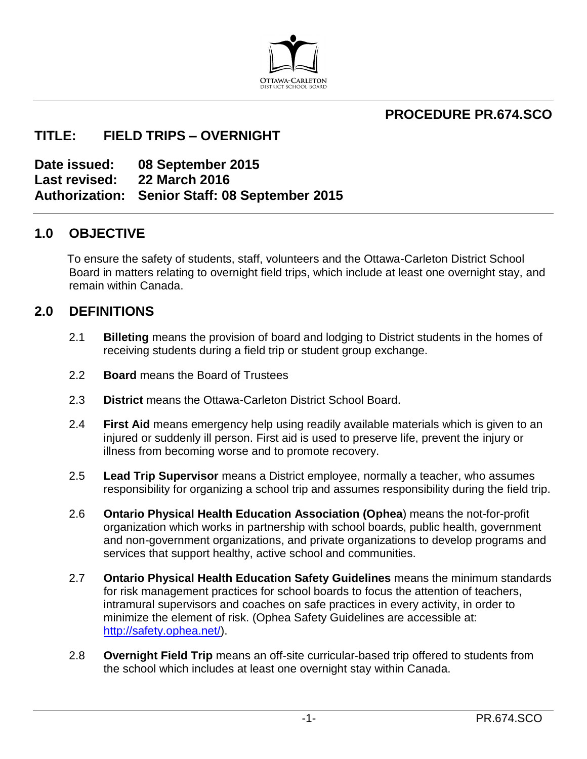

# **PROCEDURE PR.674.SCO**

# **TITLE: FIELD TRIPS – OVERNIGHT**

**Date issued: 08 September 2015 Last revised: 22 March 2016 Authorization: Senior Staff: 08 September 2015**

## **1.0 OBJECTIVE**

To ensure the safety of students, staff, volunteers and the Ottawa-Carleton District School Board in matters relating to overnight field trips, which include at least one overnight stay, and remain within Canada.

## **2.0 DEFINITIONS**

- 2.1 **Billeting** means the provision of board and lodging to District students in the homes of receiving students during a field trip or student group exchange.
- 2.2 **Board** means the Board of Trustees
- 2.3 **District** means the Ottawa-Carleton District School Board.
- 2.4 **First Aid** means emergency help using readily available materials which is given to an injured or suddenly ill person. First aid is used to preserve life, prevent the injury or illness from becoming worse and to promote recovery.
- 2.5 **Lead Trip Supervisor** means a District employee, normally a teacher, who assumes responsibility for organizing a school trip and assumes responsibility during the field trip.
- 2.6 **Ontario Physical Health Education Association (Ophea**) means the not-for-profit organization which works in partnership with school boards, public health, government and non-government organizations, and private organizations to develop programs and services that support healthy, active school and communities.
- 2.7 **Ontario Physical Health Education Safety Guidelines** means the minimum standards for risk management practices for school boards to focus the attention of teachers, intramural supervisors and coaches on safe practices in every activity, in order to minimize the element of risk. (Ophea Safety Guidelines are accessible at: [http://safety.ophea.net/\)](http://safety.ophea.net/).
- 2.8 **Overnight Field Trip** means an off-site curricular-based trip offered to students from the school which includes at least one overnight stay within Canada.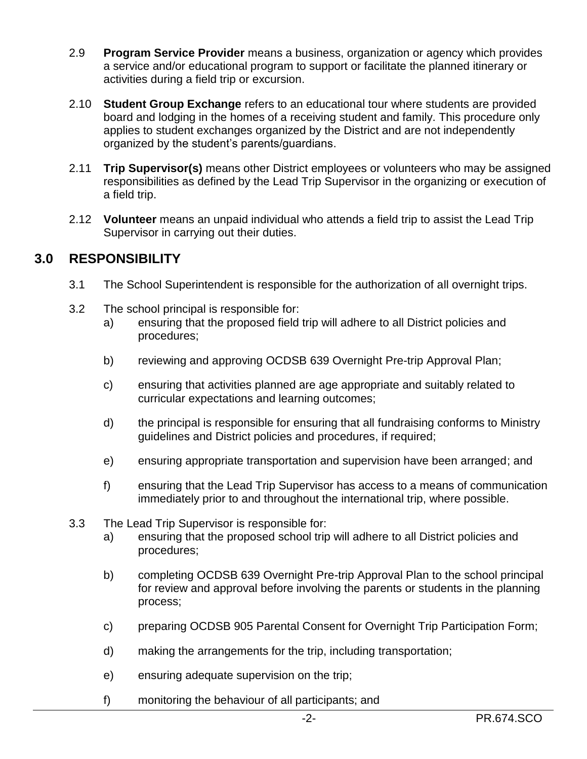- 2.9 **Program Service Provider** means a business, organization or agency which provides a service and/or educational program to support or facilitate the planned itinerary or activities during a field trip or excursion.
- 2.10 **Student Group Exchange** refers to an educational tour where students are provided board and lodging in the homes of a receiving student and family. This procedure only applies to student exchanges organized by the District and are not independently organized by the student's parents/guardians.
- 2.11 **Trip Supervisor(s)** means other District employees or volunteers who may be assigned responsibilities as defined by the Lead Trip Supervisor in the organizing or execution of a field trip.
- 2.12 **Volunteer** means an unpaid individual who attends a field trip to assist the Lead Trip Supervisor in carrying out their duties.

## **3.0 RESPONSIBILITY**

- 3.1 The School Superintendent is responsible for the authorization of all overnight trips.
- 3.2 The school principal is responsible for:
	- a) ensuring that the proposed field trip will adhere to all District policies and procedures;
	- b) reviewing and approving OCDSB 639 Overnight Pre-trip Approval Plan;
	- c) ensuring that activities planned are age appropriate and suitably related to curricular expectations and learning outcomes;
	- d) the principal is responsible for ensuring that all fundraising conforms to Ministry guidelines and District policies and procedures, if required;
	- e) ensuring appropriate transportation and supervision have been arranged; and
	- f) ensuring that the Lead Trip Supervisor has access to a means of communication immediately prior to and throughout the international trip, where possible.
- 3.3 The Lead Trip Supervisor is responsible for:
	- a) ensuring that the proposed school trip will adhere to all District policies and procedures;
	- b) completing OCDSB 639 Overnight Pre-trip Approval Plan to the school principal for review and approval before involving the parents or students in the planning process;
	- c) preparing OCDSB 905 Parental Consent for Overnight Trip Participation Form;
	- d) making the arrangements for the trip, including transportation;
	- e) ensuring adequate supervision on the trip;
	- f) monitoring the behaviour of all participants; and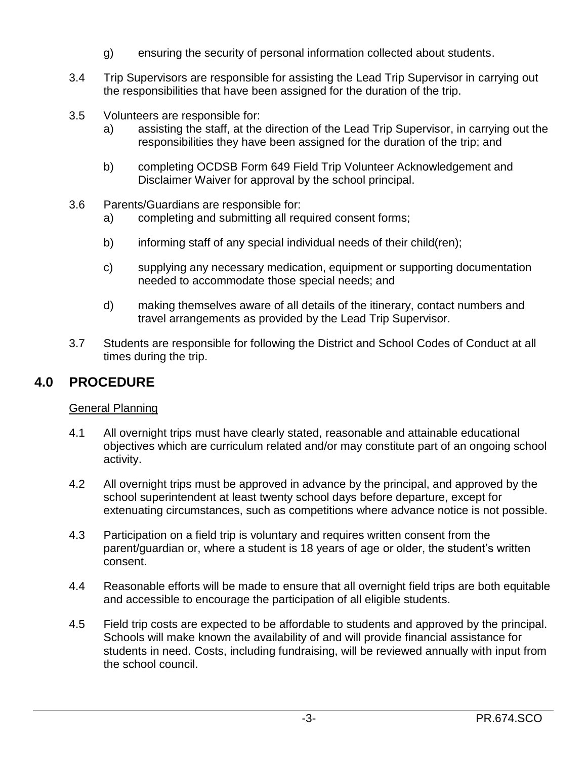- g) ensuring the security of personal information collected about students.
- 3.4 Trip Supervisors are responsible for assisting the Lead Trip Supervisor in carrying out the responsibilities that have been assigned for the duration of the trip.
- 3.5 Volunteers are responsible for:
	- a) assisting the staff, at the direction of the Lead Trip Supervisor, in carrying out the responsibilities they have been assigned for the duration of the trip; and
	- b) completing OCDSB Form 649 Field Trip Volunteer Acknowledgement and Disclaimer Waiver for approval by the school principal.
- 3.6 Parents/Guardians are responsible for:
	- a) completing and submitting all required consent forms;
	- b) informing staff of any special individual needs of their child(ren);
	- c) supplying any necessary medication, equipment or supporting documentation needed to accommodate those special needs; and
	- d) making themselves aware of all details of the itinerary, contact numbers and travel arrangements as provided by the Lead Trip Supervisor.
- 3.7 Students are responsible for following the District and School Codes of Conduct at all times during the trip.

## **4.0 PROCEDURE**

### General Planning

- 4.1 All overnight trips must have clearly stated, reasonable and attainable educational objectives which are curriculum related and/or may constitute part of an ongoing school activity.
- 4.2 All overnight trips must be approved in advance by the principal, and approved by the school superintendent at least twenty school days before departure, except for extenuating circumstances, such as competitions where advance notice is not possible.
- 4.3 Participation on a field trip is voluntary and requires written consent from the parent/guardian or, where a student is 18 years of age or older, the student's written consent.
- 4.4 Reasonable efforts will be made to ensure that all overnight field trips are both equitable and accessible to encourage the participation of all eligible students.
- 4.5 Field trip costs are expected to be affordable to students and approved by the principal. Schools will make known the availability of and will provide financial assistance for students in need. Costs, including fundraising, will be reviewed annually with input from the school council.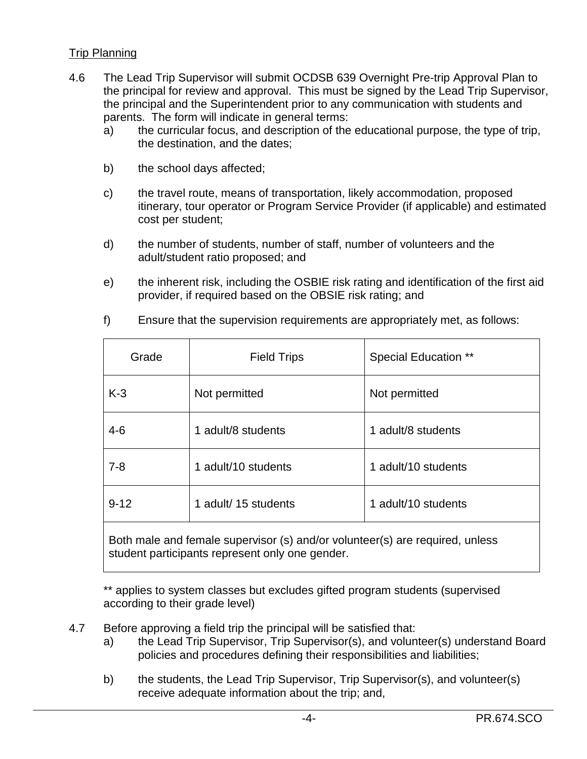### Trip Planning

- 4.6 The Lead Trip Supervisor will submit OCDSB 639 Overnight Pre-trip Approval Plan to the principal for review and approval. This must be signed by the Lead Trip Supervisor, the principal and the Superintendent prior to any communication with students and parents. The form will indicate in general terms:
	- a) the curricular focus, and description of the educational purpose, the type of trip, the destination, and the dates;
	- b) the school days affected;
	- c) the travel route, means of transportation, likely accommodation, proposed itinerary, tour operator or Program Service Provider (if applicable) and estimated cost per student;
	- d) the number of students, number of staff, number of volunteers and the adult/student ratio proposed; and
	- e) the inherent risk, including the OSBIE risk rating and identification of the first aid provider, if required based on the OBSIE risk rating; and

| Grade                                                                                                                           | <b>Field Trips</b>   | <b>Special Education **</b> |
|---------------------------------------------------------------------------------------------------------------------------------|----------------------|-----------------------------|
| $K-3$                                                                                                                           | Not permitted        | Not permitted               |
| $4 - 6$                                                                                                                         | 1 adult/8 students   | 1 adult/8 students          |
| $7 - 8$                                                                                                                         | 1 adult/10 students  | 1 adult/10 students         |
| $9 - 12$                                                                                                                        | 1 adult/ 15 students | 1 adult/10 students         |
| Both male and female supervisor (s) and/or volunteer(s) are required, unless<br>student participants represent only one gender. |                      |                             |

f) Ensure that the supervision requirements are appropriately met, as follows:

\*\* applies to system classes but excludes gifted program students (supervised according to their grade level)

- 4.7 Before approving a field trip the principal will be satisfied that:
	- a) the Lead Trip Supervisor, Trip Supervisor(s), and volunteer(s) understand Board policies and procedures defining their responsibilities and liabilities;
	- b) the students, the Lead Trip Supervisor, Trip Supervisor(s), and volunteer(s) receive adequate information about the trip; and,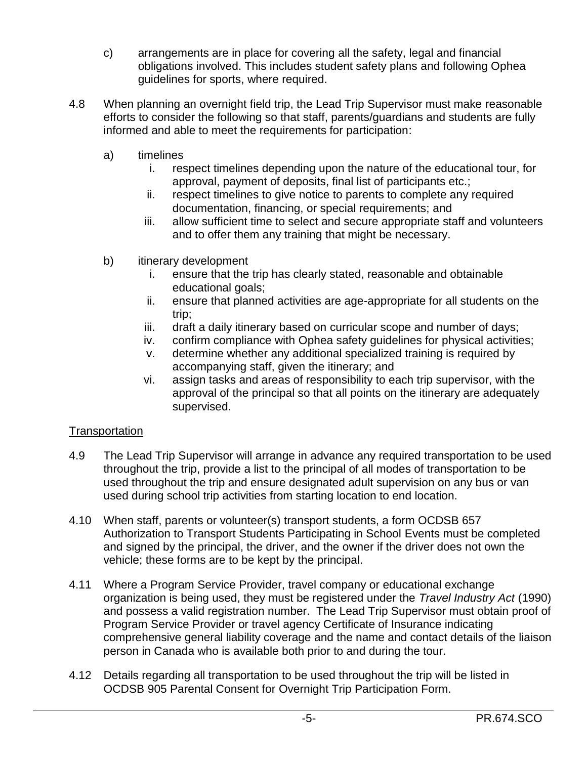- c) arrangements are in place for covering all the safety, legal and financial obligations involved. This includes student safety plans and following Ophea guidelines for sports, where required.
- 4.8 When planning an overnight field trip, the Lead Trip Supervisor must make reasonable efforts to consider the following so that staff, parents/guardians and students are fully informed and able to meet the requirements for participation:
	- a) timelines
		- i. respect timelines depending upon the nature of the educational tour, for approval, payment of deposits, final list of participants etc.;
		- ii. respect timelines to give notice to parents to complete any required documentation, financing, or special requirements; and
		- iii. allow sufficient time to select and secure appropriate staff and volunteers and to offer them any training that might be necessary.
	- b) itinerary development
		- i. ensure that the trip has clearly stated, reasonable and obtainable educational goals;
		- ii. ensure that planned activities are age-appropriate for all students on the trip;
		- iii. draft a daily itinerary based on curricular scope and number of days;
		- iv. confirm compliance with Ophea safety guidelines for physical activities;
		- v. determine whether any additional specialized training is required by accompanying staff, given the itinerary; and
		- vi. assign tasks and areas of responsibility to each trip supervisor, with the approval of the principal so that all points on the itinerary are adequately supervised.

### **Transportation**

- 4.9 The Lead Trip Supervisor will arrange in advance any required transportation to be used throughout the trip, provide a list to the principal of all modes of transportation to be used throughout the trip and ensure designated adult supervision on any bus or van used during school trip activities from starting location to end location.
- 4.10 When staff, parents or volunteer(s) transport students, a form OCDSB 657 Authorization to Transport Students Participating in School Events must be completed and signed by the principal, the driver, and the owner if the driver does not own the vehicle; these forms are to be kept by the principal.
- 4.11 Where a Program Service Provider, travel company or educational exchange organization is being used, they must be registered under the *Travel Industry Act* (1990) and possess a valid registration number. The Lead Trip Supervisor must obtain proof of Program Service Provider or travel agency Certificate of Insurance indicating comprehensive general liability coverage and the name and contact details of the liaison person in Canada who is available both prior to and during the tour.
- 4.12 Details regarding all transportation to be used throughout the trip will be listed in OCDSB 905 Parental Consent for Overnight Trip Participation Form.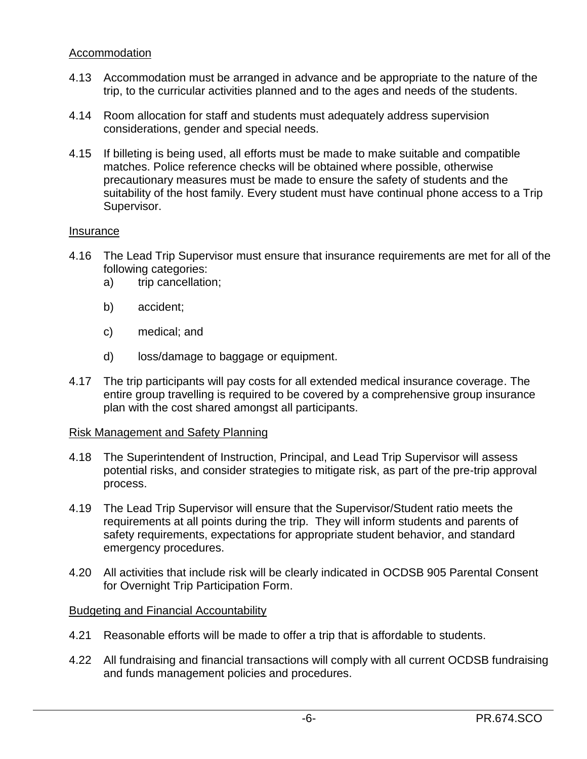#### Accommodation

- 4.13 Accommodation must be arranged in advance and be appropriate to the nature of the trip, to the curricular activities planned and to the ages and needs of the students.
- 4.14 Room allocation for staff and students must adequately address supervision considerations, gender and special needs.
- 4.15 If billeting is being used, all efforts must be made to make suitable and compatible matches. Police reference checks will be obtained where possible, otherwise precautionary measures must be made to ensure the safety of students and the suitability of the host family. Every student must have continual phone access to a Trip Supervisor.

#### Insurance

- 4.16 The Lead Trip Supervisor must ensure that insurance requirements are met for all of the following categories:
	- a) trip cancellation;
	- b) accident;
	- c) medical; and
	- d) loss/damage to baggage or equipment.
- 4.17 The trip participants will pay costs for all extended medical insurance coverage. The entire group travelling is required to be covered by a comprehensive group insurance plan with the cost shared amongst all participants.

#### Risk Management and Safety Planning

- 4.18 The Superintendent of Instruction, Principal, and Lead Trip Supervisor will assess potential risks, and consider strategies to mitigate risk, as part of the pre-trip approval process.
- 4.19 The Lead Trip Supervisor will ensure that the Supervisor/Student ratio meets the requirements at all points during the trip. They will inform students and parents of safety requirements, expectations for appropriate student behavior, and standard emergency procedures.
- 4.20 All activities that include risk will be clearly indicated in OCDSB 905 Parental Consent for Overnight Trip Participation Form.

### Budgeting and Financial Accountability

- 4.21 Reasonable efforts will be made to offer a trip that is affordable to students.
- 4.22 All fundraising and financial transactions will comply with all current OCDSB fundraising and funds management policies and procedures.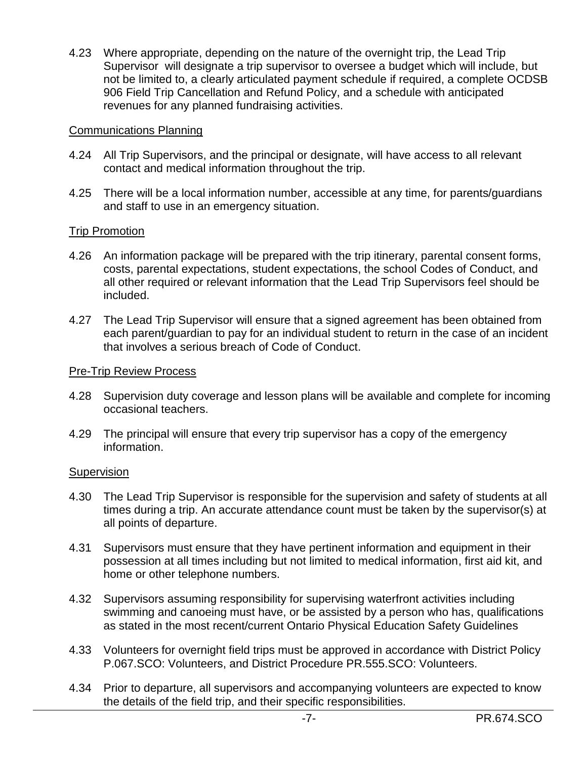4.23 Where appropriate, depending on the nature of the overnight trip, the Lead Trip Supervisor will designate a trip supervisor to oversee a budget which will include, but not be limited to, a clearly articulated payment schedule if required, a complete OCDSB 906 Field Trip Cancellation and Refund Policy, and a schedule with anticipated revenues for any planned fundraising activities.

#### Communications Planning

- 4.24 All Trip Supervisors, and the principal or designate, will have access to all relevant contact and medical information throughout the trip.
- 4.25 There will be a local information number, accessible at any time, for parents/guardians and staff to use in an emergency situation.

#### Trip Promotion

- 4.26 An information package will be prepared with the trip itinerary, parental consent forms, costs, parental expectations, student expectations, the school Codes of Conduct, and all other required or relevant information that the Lead Trip Supervisors feel should be included.
- 4.27 The Lead Trip Supervisor will ensure that a signed agreement has been obtained from each parent/guardian to pay for an individual student to return in the case of an incident that involves a serious breach of Code of Conduct.

#### Pre-Trip Review Process

- 4.28 Supervision duty coverage and lesson plans will be available and complete for incoming occasional teachers.
- 4.29 The principal will ensure that every trip supervisor has a copy of the emergency information.

#### **Supervision**

- 4.30 The Lead Trip Supervisor is responsible for the supervision and safety of students at all times during a trip. An accurate attendance count must be taken by the supervisor(s) at all points of departure.
- 4.31 Supervisors must ensure that they have pertinent information and equipment in their possession at all times including but not limited to medical information, first aid kit, and home or other telephone numbers.
- 4.32 Supervisors assuming responsibility for supervising waterfront activities including swimming and canoeing must have, or be assisted by a person who has, qualifications as stated in the most recent/current Ontario Physical Education Safety Guidelines
- 4.33 Volunteers for overnight field trips must be approved in accordance with District Policy P.067.SCO: Volunteers, and District Procedure PR.555.SCO: Volunteers.
- 4.34 Prior to departure, all supervisors and accompanying volunteers are expected to know the details of the field trip, and their specific responsibilities.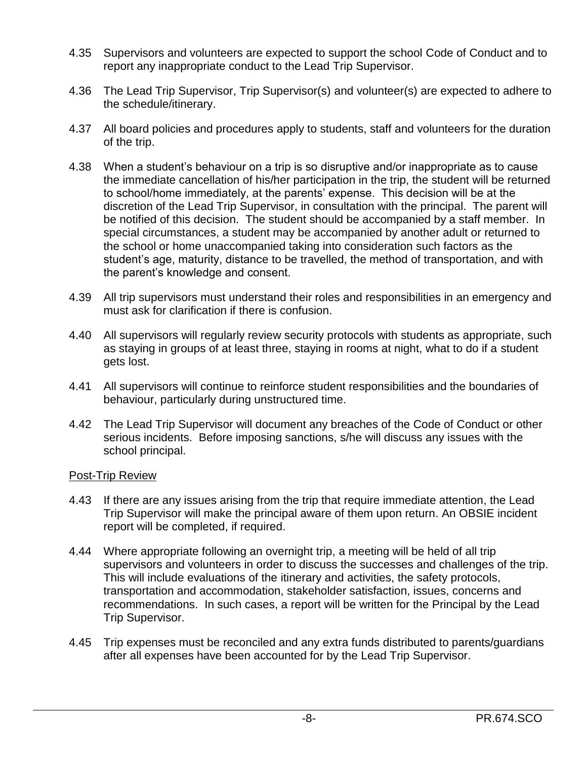- 4.35 Supervisors and volunteers are expected to support the school Code of Conduct and to report any inappropriate conduct to the Lead Trip Supervisor.
- 4.36 The Lead Trip Supervisor, Trip Supervisor(s) and volunteer(s) are expected to adhere to the schedule/itinerary.
- 4.37 All board policies and procedures apply to students, staff and volunteers for the duration of the trip.
- 4.38 When a student's behaviour on a trip is so disruptive and/or inappropriate as to cause the immediate cancellation of his/her participation in the trip, the student will be returned to school/home immediately, at the parents' expense. This decision will be at the discretion of the Lead Trip Supervisor, in consultation with the principal. The parent will be notified of this decision. The student should be accompanied by a staff member. In special circumstances, a student may be accompanied by another adult or returned to the school or home unaccompanied taking into consideration such factors as the student's age, maturity, distance to be travelled, the method of transportation, and with the parent's knowledge and consent.
- 4.39 All trip supervisors must understand their roles and responsibilities in an emergency and must ask for clarification if there is confusion.
- 4.40 All supervisors will regularly review security protocols with students as appropriate, such as staying in groups of at least three, staying in rooms at night, what to do if a student gets lost.
- 4.41 All supervisors will continue to reinforce student responsibilities and the boundaries of behaviour, particularly during unstructured time.
- 4.42 The Lead Trip Supervisor will document any breaches of the Code of Conduct or other serious incidents. Before imposing sanctions, s/he will discuss any issues with the school principal.

#### Post-Trip Review

- 4.43 If there are any issues arising from the trip that require immediate attention, the Lead Trip Supervisor will make the principal aware of them upon return. An OBSIE incident report will be completed, if required.
- 4.44 Where appropriate following an overnight trip, a meeting will be held of all trip supervisors and volunteers in order to discuss the successes and challenges of the trip. This will include evaluations of the itinerary and activities, the safety protocols, transportation and accommodation, stakeholder satisfaction, issues, concerns and recommendations. In such cases, a report will be written for the Principal by the Lead Trip Supervisor.
- 4.45 Trip expenses must be reconciled and any extra funds distributed to parents/guardians after all expenses have been accounted for by the Lead Trip Supervisor.